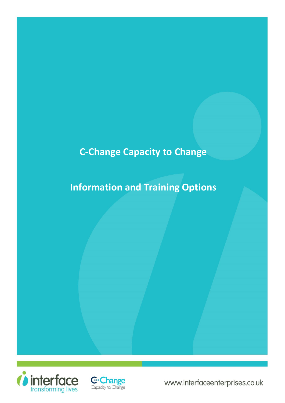## **C-Change Capacity to Change**

# **Information and Training Options**



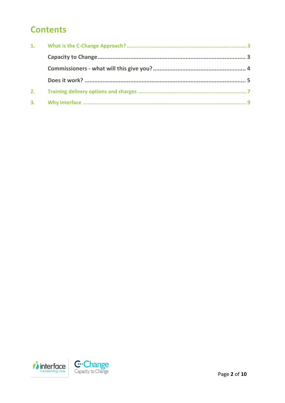## **Contents**

| 2. |  |
|----|--|
|    |  |

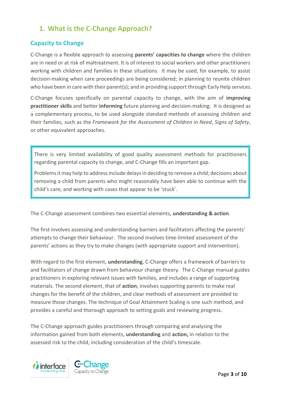## <span id="page-2-0"></span>**1. What is the C-Change Approach?**

### <span id="page-2-1"></span>**Capacity to Change**

C-Change is a flexible approach to assessing **parents' capacities to change** where the children are in need or at risk of maltreatment. It is of interest to social workers and other practitioners working with children and families in these situations. It may be used, for example, to assist decision-making when care proceedings are being considered; in planning to reunite children who have been in care with their parent(s); and in providing support through Early Help services.

C-Change focuses specifically on parental capacity to change, with the aim of **improving practitioner skills** and better **informing** future planning and decision-making. It is designed as a complementary process, to be used alongside standard methods of assessing children and their families, such as the *Framework for the Assessment of Children in Need*, *Signs of Safety*, or other equivalent approaches.

There is very limited availability of good quality assessment methods for practitioners regarding parental capacity to change, and C-Change fills an important gap.

Problems it may help to address include delays in deciding to remove a child; decisions about removing a child from parents who might reasonably have been able to continue with the child's care; and working with cases that appear to be 'stuck'.

The C-Change assessment combines two essential elements, **understanding & action**.

The first involves assessing and understanding barriers and facilitators affecting the parents' attempts to change their behaviour. The second involves time-limited assessment of the parents' actions as they try to make changes (with appropriate support and intervention).

With regard to the first element, **understanding**, C-Change offers a framework of barriers to and facilitators of change drawn from behaviour change theory. The C-Change manual guides practitioners in exploring relevant issues with families, and includes a range of supporting materials. The second element, that of **action**, involves supporting parents to make real changes for the benefit of the children, and clear methods of assessment are provided to measure those changes. The technique of Goal Attainment Scaling is one such method, and provides a careful and thorough approach to setting goals and reviewing progress.

The C-Change approach guides practitioners through comparing and analysing the information gained from both elements, **understanding** and **action,** in relation to the assessed risk to the child, including consideration of the child's timescale.

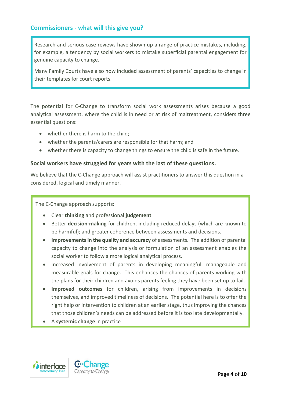#### <span id="page-3-0"></span>**Commissioners - what will this give you?**

Research and serious case reviews have shown up a range of practice mistakes, including, for example, a tendency by social workers to mistake superficial parental engagement for genuine capacity to change.

Many Family Courts have also now included assessment of parents' capacities to change in their templates for court reports.

The potential for C-Change to transform social work assessments arises because a good analytical assessment, where the child is in need or at risk of maltreatment, considers three essential questions:

- whether there is harm to the child;
- whether the parents/carers are responsible for that harm; and
- whether there is capacity to change things to ensure the child is safe in the future.

#### **Social workers have struggled for years with the last of these questions.**

We believe that the C-Change approach will assist practitioners to answer this question in a considered, logical and timely manner.

The C-Change approach supports:

- Clear **thinking** and professional **judgement**
- Better **decision-making** for children, including reduced delays (which are known to be harmful); and greater coherence between assessments and decisions.
- **Improvements in the quality and accuracy** of assessments. The addition of parental capacity to change into the analysis or formulation of an assessment enables the social worker to follow a more logical analytical process.
- Increased involvement of parents in developing meaningful, manageable and measurable goals for change. This enhances the chances of parents working with the plans for their children and avoids parents feeling they have been set up to fail.
- **Improved outcomes** for children, arising from improvements in decisions themselves, and improved timeliness of decisions. The potential here is to offer the right help or intervention to children at an earlier stage, thus improving the chances that those children's needs can be addressed before it is too late developmentally.
- A **systemic change** in practice

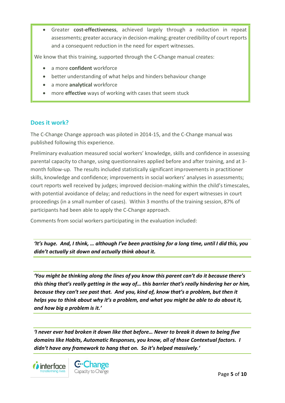Greater **cost-effectiveness**, achieved largely through a reduction in repeat assessments; greater accuracy in decision-making; greater credibility of court reports and a consequent reduction in the need for expert witnesses.

We know that this training, supported through the C-Change manual creates:

- a more **confident** workforce
- better understanding of what helps and hinders behaviour change
- a more **analytical** workforce
- more **effective** ways of working with cases that seem stuck

#### <span id="page-4-0"></span>**Does it work?**

The C-Change Change approach was piloted in 2014-15, and the C-Change manual was published following this experience.

Preliminary evaluation measured social workers' knowledge, skills and confidence in assessing parental capacity to change, using questionnaires applied before and after training, and at 3 month follow-up. The results included statistically significant improvements in practitioner skills, knowledge and confidence; improvements in social workers' analyses in assessments; court reports well received by judges; improved decision-making within the child's timescales, with potential avoidance of delay; and reductions in the need for expert witnesses in court proceedings (in a small number of cases). Within 3 months of the training session, 87% of participants had been able to apply the C-Change approach.

Comments from social workers participating in the evaluation included:

*'It's huge. And, I think, … although I've been practising for a long time, until I did this, you didn't actually sit down and actually think about it.* 

*'You might be thinking along the lines of you know this parent can't do it because there's this thing that's really getting in the way of… this barrier that's really hindering her or him, because they can't see past that. And you, kind of, know that's a problem, but then it helps you to think about why it's a problem, and what you might be able to do about it, and how big a problem is it.'* 

*'I never ever had broken it down like that before… Never to break it down to being five domains like Habits, Automatic Responses, you know, all of those Contextual factors. I didn't have any framework to hang that on. So it's helped massively.'* 



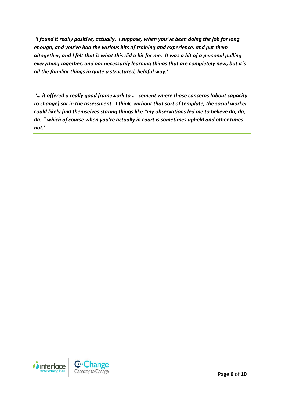*'I found it really positive, actually. I suppose, when you've been doing the job for long enough, and you've had the various bits of training and experience, and put them altogether, and I felt that is what this did a bit for me. It was a bit of a personal pulling everything together, and not necessarily learning things that are completely new, but it's all the familiar things in quite a structured, helpful way.'* 

*'… it offered a really good framework to … cement where those concerns (about capacity to change) sat in the assessment. I think, without that sort of template, the social worker could likely find themselves stating things like "my observations led me to believe da, da, da.." which of course when you're actually in court is sometimes upheld and other times not.'*

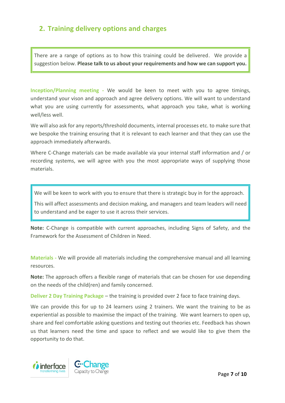### <span id="page-6-0"></span>**2. Training delivery options and charges**

There are a range of options as to how this training could be delivered. We provide a suggestion below. **Please talk to us about your requirements and how we can support you.**

**Inception/Planning meeting -** We would be keen to meet with you to agree timings, understand your vison and approach and agree delivery options. We will want to understand what you are using currently for assessments, what approach you take, what is working well/less well.

We will also ask for any reports/threshold documents, internal processes etc. to make sure that we bespoke the training ensuring that it is relevant to each learner and that they can use the approach immediately afterwards.

Where C-Change materials can be made available via your internal staff information and / or recording systems, we will agree with you the most appropriate ways of supplying those materials.

We will be keen to work with you to ensure that there is strategic buy in for the approach.

This will affect assessments and decision making, and managers and team leaders will need to understand and be eager to use it across their services.

**Note:** C-Change is compatible with current approaches, including Signs of Safety, and the Framework for the Assessment of Children in Need.

**Materials -** We will provide all materials including the comprehensive manual and all learning resources.

**Note:** The approach offers a flexible range of materials that can be chosen for use depending on the needs of the child(ren) and family concerned.

**Deliver 2 Day Training Package – the training is provided over 2 face to face training days.** 

We can provide this for up to 24 learners using 2 trainers. We want the training to be as experiential as possible to maximise the impact of the training. We want learners to open up, share and feel comfortable asking questions and testing out theories etc. Feedback has shown us that learners need the time and space to reflect and we would like to give them the opportunity to do that.

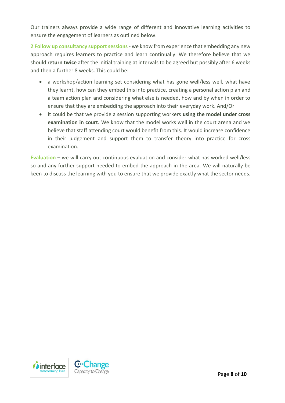Our trainers always provide a wide range of different and innovative learning activities to ensure the engagement of learners as outlined below.

**2 Follow up consultancy support sessions** - we know from experience that embedding any new approach requires learners to practice and learn continually. We therefore believe that we should **return twice** after the initial training at intervals to be agreed but possibly after 6 weeks and then a further 8 weeks. This could be:

- a workshop/action learning set considering what has gone well/less well, what have they learnt, how can they embed this into practice, creating a personal action plan and a team action plan and considering what else is needed, how and by when in order to ensure that they are embedding the approach into their everyday work. And/Or
- it could be that we provide a session supporting workers **using the model under cross examination in court.** We know that the model works well in the court arena and we believe that staff attending court would benefit from this. It would increase confidence in their judgement and support them to transfer theory into practice for cross examination.

**Evaluation** – we will carry out continuous evaluation and consider what has worked well/less so and any further support needed to embed the approach in the area. We will naturally be keen to discuss the learning with you to ensure that we provide exactly what the sector needs.

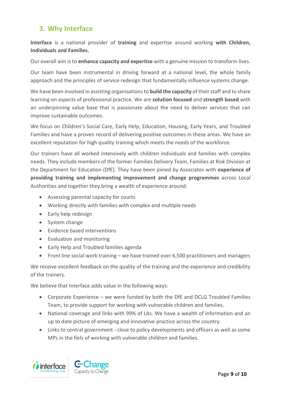## <span id="page-8-0"></span>**3. Why Interface**

**Interface** is a national provider of **training** and expertise around working **with Children, Individuals and Families.** 

Our overall aim is to **enhance capacity and expertise** with a genuine mission to transform lives.

Our team have been instrumental in driving forward at a national level, the whole family approach and the principles of service redesign that fundamentally influence systems change.

We have been involved in assisting organisations to **build the capacity** of their staff and to share learning on aspects of professional practice. We are **solution focused** and **strength based** with an underpinning value base that is passionate about the need to deliver services that can improve sustainable outcomes.

We focus on Children's Social Care, Early Help, Education, Housing, Early Years, and Troubled Families and have a proven record of delivering positive outcomes in these areas. We have an excellent reputation for high quality training which meets the needs of the workforce.

Our trainers have all worked intensively with children individuals and families with complex needs. They include members of the former Families Delivery Team, Families at Risk Division at the Department for Education (DfE). They have been joined by Associates with **experience of providing training and implementing improvement and change programmes** across Local Authorities and together they bring a wealth of experience around:

- Assessing parental capacity for courts
- Working directly with families with complex and multiple needs
- Early help redesign
- System change
- Evidence based interventions
- Evaluation and monitoring
- Early Help and Troubled families agenda
- Front line social work training we have trained over 6,500 practitioners and managers

We receive excellent feedback on the quality of the training and the experience and credibility of the trainers.

We believe that Interface adds value in the following ways:

- Corporate Experience we were funded by both the DfE and DCLG Troubled Families Team, to provide support for working with vulnerable children and families.
- National coverage and links with 99% of LAs. We have a wealth of information and an up to date picture of emerging and innovative practice across the country.
- Links to central government close to policy developments and officers as well as some MPs in the fiels of working with vulnerable children and families.